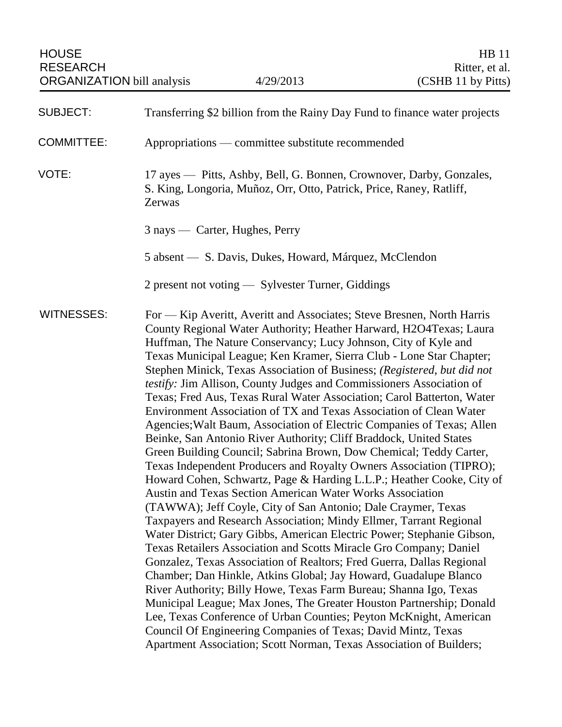| <b>SUBJECT:</b>   | Transferring \$2 billion from the Rainy Day Fund to finance water projects                                                                                                                                                                                                                                                                                                                                                                                                                                                                                                                                                                                                                                                                                                                                                                                                                                                                                                                                                                                                                                                                                                                                                                                                                                                                                                                                                                                                                                                                                                                                                                                                                                                                                                                                                          |
|-------------------|-------------------------------------------------------------------------------------------------------------------------------------------------------------------------------------------------------------------------------------------------------------------------------------------------------------------------------------------------------------------------------------------------------------------------------------------------------------------------------------------------------------------------------------------------------------------------------------------------------------------------------------------------------------------------------------------------------------------------------------------------------------------------------------------------------------------------------------------------------------------------------------------------------------------------------------------------------------------------------------------------------------------------------------------------------------------------------------------------------------------------------------------------------------------------------------------------------------------------------------------------------------------------------------------------------------------------------------------------------------------------------------------------------------------------------------------------------------------------------------------------------------------------------------------------------------------------------------------------------------------------------------------------------------------------------------------------------------------------------------------------------------------------------------------------------------------------------------|
| <b>COMMITTEE:</b> | Appropriations — committee substitute recommended                                                                                                                                                                                                                                                                                                                                                                                                                                                                                                                                                                                                                                                                                                                                                                                                                                                                                                                                                                                                                                                                                                                                                                                                                                                                                                                                                                                                                                                                                                                                                                                                                                                                                                                                                                                   |
| VOTE:             | 17 ayes — Pitts, Ashby, Bell, G. Bonnen, Crownover, Darby, Gonzales,<br>S. King, Longoria, Muñoz, Orr, Otto, Patrick, Price, Raney, Ratliff,<br>Zerwas                                                                                                                                                                                                                                                                                                                                                                                                                                                                                                                                                                                                                                                                                                                                                                                                                                                                                                                                                                                                                                                                                                                                                                                                                                                                                                                                                                                                                                                                                                                                                                                                                                                                              |
|                   | 3 nays — Carter, Hughes, Perry                                                                                                                                                                                                                                                                                                                                                                                                                                                                                                                                                                                                                                                                                                                                                                                                                                                                                                                                                                                                                                                                                                                                                                                                                                                                                                                                                                                                                                                                                                                                                                                                                                                                                                                                                                                                      |
|                   | 5 absent — S. Davis, Dukes, Howard, Márquez, McClendon                                                                                                                                                                                                                                                                                                                                                                                                                                                                                                                                                                                                                                                                                                                                                                                                                                                                                                                                                                                                                                                                                                                                                                                                                                                                                                                                                                                                                                                                                                                                                                                                                                                                                                                                                                              |
|                   | 2 present not voting — Sylvester Turner, Giddings                                                                                                                                                                                                                                                                                                                                                                                                                                                                                                                                                                                                                                                                                                                                                                                                                                                                                                                                                                                                                                                                                                                                                                                                                                                                                                                                                                                                                                                                                                                                                                                                                                                                                                                                                                                   |
| <b>WITNESSES:</b> | For — Kip Averitt, Averitt and Associates; Steve Bresnen, North Harris<br>County Regional Water Authority; Heather Harward, H2O4Texas; Laura<br>Huffman, The Nature Conservancy; Lucy Johnson, City of Kyle and<br>Texas Municipal League; Ken Kramer, Sierra Club - Lone Star Chapter;<br>Stephen Minick, Texas Association of Business; (Registered, but did not<br>testify: Jim Allison, County Judges and Commissioners Association of<br>Texas; Fred Aus, Texas Rural Water Association; Carol Batterton, Water<br>Environment Association of TX and Texas Association of Clean Water<br>Agencies; Walt Baum, Association of Electric Companies of Texas; Allen<br>Beinke, San Antonio River Authority; Cliff Braddock, United States<br>Green Building Council; Sabrina Brown, Dow Chemical; Teddy Carter,<br>Texas Independent Producers and Royalty Owners Association (TIPRO);<br>Howard Cohen, Schwartz, Page & Harding L.L.P.; Heather Cooke, City of<br><b>Austin and Texas Section American Water Works Association</b><br>(TAWWA); Jeff Coyle, City of San Antonio; Dale Craymer, Texas<br>Taxpayers and Research Association; Mindy Ellmer, Tarrant Regional<br>Water District; Gary Gibbs, American Electric Power; Stephanie Gibson,<br>Texas Retailers Association and Scotts Miracle Gro Company; Daniel<br>Gonzalez, Texas Association of Realtors; Fred Guerra, Dallas Regional<br>Chamber; Dan Hinkle, Atkins Global; Jay Howard, Guadalupe Blanco<br>River Authority; Billy Howe, Texas Farm Bureau; Shanna Igo, Texas<br>Municipal League; Max Jones, The Greater Houston Partnership; Donald<br>Lee, Texas Conference of Urban Counties; Peyton McKnight, American<br>Council Of Engineering Companies of Texas; David Mintz, Texas<br>Apartment Association; Scott Norman, Texas Association of Builders; |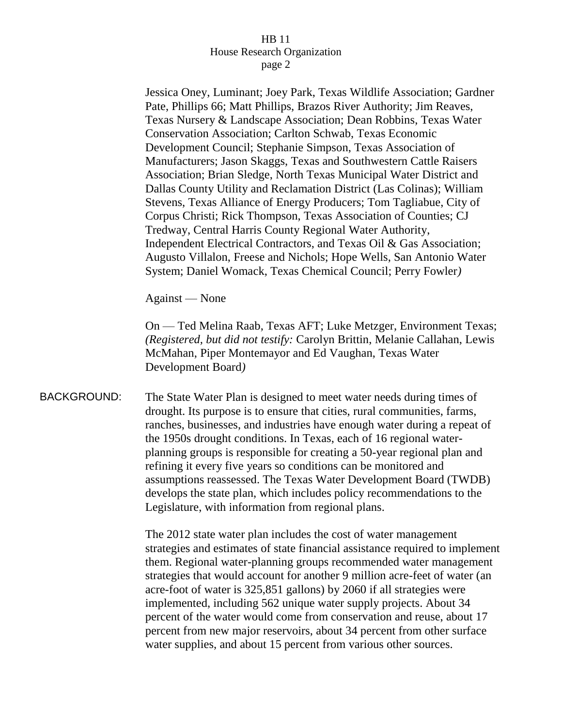Jessica Oney, Luminant; Joey Park, Texas Wildlife Association; Gardner Pate, Phillips 66; Matt Phillips, Brazos River Authority; Jim Reaves, Texas Nursery & Landscape Association; Dean Robbins, Texas Water Conservation Association; Carlton Schwab, Texas Economic Development Council; Stephanie Simpson, Texas Association of Manufacturers; Jason Skaggs, Texas and Southwestern Cattle Raisers Association; Brian Sledge, North Texas Municipal Water District and Dallas County Utility and Reclamation District (Las Colinas); William Stevens, Texas Alliance of Energy Producers; Tom Tagliabue, City of Corpus Christi; Rick Thompson, Texas Association of Counties; CJ Tredway, Central Harris County Regional Water Authority, Independent Electrical Contractors, and Texas Oil & Gas Association; Augusto Villalon, Freese and Nichols; Hope Wells, San Antonio Water System; Daniel Womack, Texas Chemical Council; Perry Fowler*)*

Against — None

On — Ted Melina Raab, Texas AFT; Luke Metzger, Environment Texas; *(Registered, but did not testify:* Carolyn Brittin, Melanie Callahan, Lewis McMahan, Piper Montemayor and Ed Vaughan, Texas Water Development Board*)*

# BACKGROUND: The State Water Plan is designed to meet water needs during times of drought. Its purpose is to ensure that cities, rural communities, farms, ranches, businesses, and industries have enough water during a repeat of the 1950s drought conditions. In Texas, each of 16 regional waterplanning groups is responsible for creating a 50-year regional plan and refining it every five years so conditions can be monitored and assumptions reassessed. The Texas Water Development Board (TWDB) develops the state plan, which includes policy recommendations to the Legislature, with information from regional plans.

The 2012 state water plan includes the cost of water management strategies and estimates of state financial assistance required to implement them. Regional water-planning groups recommended water management strategies that would account for another 9 million acre-feet of water (an acre-foot of water is 325,851 gallons) by 2060 if all strategies were implemented, including 562 unique water supply projects. About 34 percent of the water would come from conservation and reuse, about 17 percent from new major reservoirs, about 34 percent from other surface water supplies, and about 15 percent from various other sources.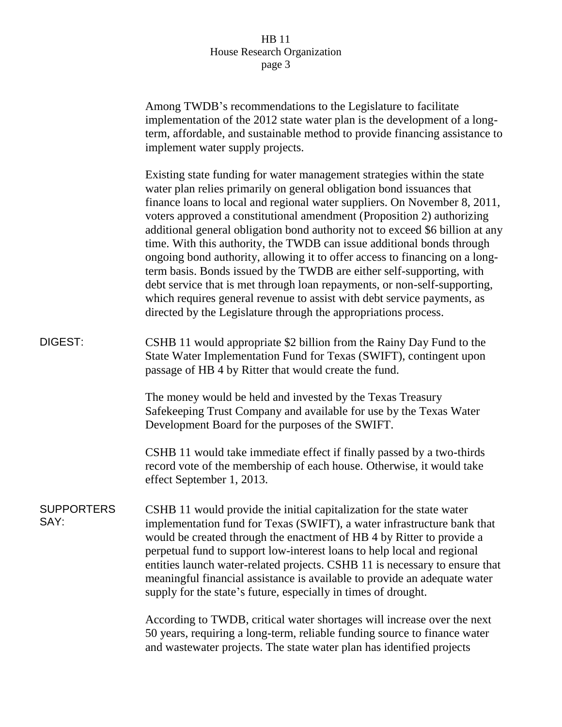|                    | Among TWDB's recommendations to the Legislature to facilitate<br>implementation of the 2012 state water plan is the development of a long-<br>term, affordable, and sustainable method to provide financing assistance to<br>implement water supply projects.                                                                                                                                                                                                                                                                                                                                                                                                                                                                                                                                                                                         |
|--------------------|-------------------------------------------------------------------------------------------------------------------------------------------------------------------------------------------------------------------------------------------------------------------------------------------------------------------------------------------------------------------------------------------------------------------------------------------------------------------------------------------------------------------------------------------------------------------------------------------------------------------------------------------------------------------------------------------------------------------------------------------------------------------------------------------------------------------------------------------------------|
|                    | Existing state funding for water management strategies within the state<br>water plan relies primarily on general obligation bond issuances that<br>finance loans to local and regional water suppliers. On November 8, 2011,<br>voters approved a constitutional amendment (Proposition 2) authorizing<br>additional general obligation bond authority not to exceed \$6 billion at any<br>time. With this authority, the TWDB can issue additional bonds through<br>ongoing bond authority, allowing it to offer access to financing on a long-<br>term basis. Bonds issued by the TWDB are either self-supporting, with<br>debt service that is met through loan repayments, or non-self-supporting,<br>which requires general revenue to assist with debt service payments, as<br>directed by the Legislature through the appropriations process. |
| DIGEST:            | CSHB 11 would appropriate \$2 billion from the Rainy Day Fund to the<br>State Water Implementation Fund for Texas (SWIFT), contingent upon<br>passage of HB 4 by Ritter that would create the fund.                                                                                                                                                                                                                                                                                                                                                                                                                                                                                                                                                                                                                                                   |
|                    | The money would be held and invested by the Texas Treasury<br>Safekeeping Trust Company and available for use by the Texas Water<br>Development Board for the purposes of the SWIFT.                                                                                                                                                                                                                                                                                                                                                                                                                                                                                                                                                                                                                                                                  |
|                    | CSHB 11 would take immediate effect if finally passed by a two-thirds<br>record vote of the membership of each house. Otherwise, it would take<br>effect September 1, 2013.                                                                                                                                                                                                                                                                                                                                                                                                                                                                                                                                                                                                                                                                           |
| SUPPORTERS<br>SAY: | CSHB 11 would provide the initial capitalization for the state water<br>implementation fund for Texas (SWIFT), a water infrastructure bank that<br>would be created through the enactment of HB 4 by Ritter to provide a<br>perpetual fund to support low-interest loans to help local and regional<br>entities launch water-related projects. CSHB 11 is necessary to ensure that<br>meaningful financial assistance is available to provide an adequate water<br>supply for the state's future, especially in times of drought.                                                                                                                                                                                                                                                                                                                     |
|                    | According to TWDB, critical water shortages will increase over the next<br>50 years, requiring a long-term, reliable funding source to finance water<br>and wastewater projects. The state water plan has identified projects                                                                                                                                                                                                                                                                                                                                                                                                                                                                                                                                                                                                                         |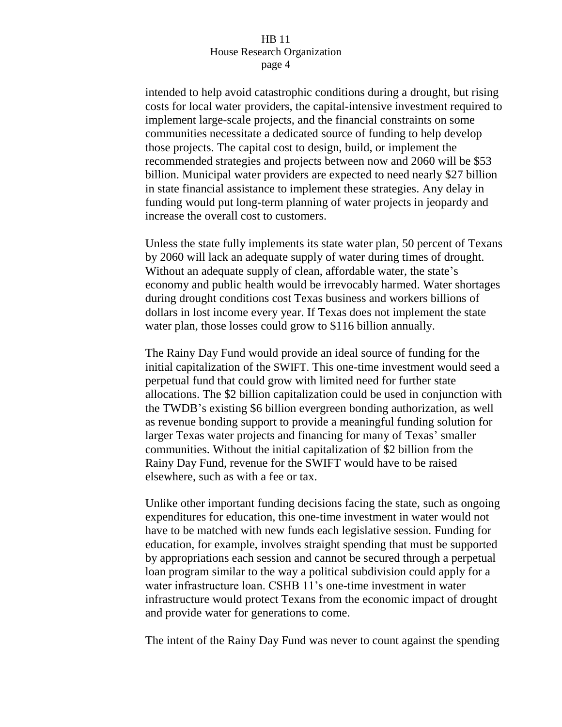intended to help avoid catastrophic conditions during a drought, but rising costs for local water providers, the capital-intensive investment required to implement large-scale projects, and the financial constraints on some communities necessitate a dedicated source of funding to help develop those projects. The capital cost to design, build, or implement the recommended strategies and projects between now and 2060 will be \$53 billion. Municipal water providers are expected to need nearly \$27 billion in state financial assistance to implement these strategies. Any delay in funding would put long-term planning of water projects in jeopardy and increase the overall cost to customers.

Unless the state fully implements its state water plan, 50 percent of Texans by 2060 will lack an adequate supply of water during times of drought. Without an adequate supply of clean, affordable water, the state's economy and public health would be irrevocably harmed. Water shortages during drought conditions cost Texas business and workers billions of dollars in lost income every year. If Texas does not implement the state water plan, those losses could grow to \$116 billion annually.

The Rainy Day Fund would provide an ideal source of funding for the initial capitalization of the SWIFT. This one-time investment would seed a perpetual fund that could grow with limited need for further state allocations. The \$2 billion capitalization could be used in conjunction with the TWDB's existing \$6 billion evergreen bonding authorization, as well as revenue bonding support to provide a meaningful funding solution for larger Texas water projects and financing for many of Texas' smaller communities. Without the initial capitalization of \$2 billion from the Rainy Day Fund, revenue for the SWIFT would have to be raised elsewhere, such as with a fee or tax.

Unlike other important funding decisions facing the state, such as ongoing expenditures for education, this one-time investment in water would not have to be matched with new funds each legislative session. Funding for education, for example, involves straight spending that must be supported by appropriations each session and cannot be secured through a perpetual loan program similar to the way a political subdivision could apply for a water infrastructure loan. CSHB 11's one-time investment in water infrastructure would protect Texans from the economic impact of drought and provide water for generations to come.

The intent of the Rainy Day Fund was never to count against the spending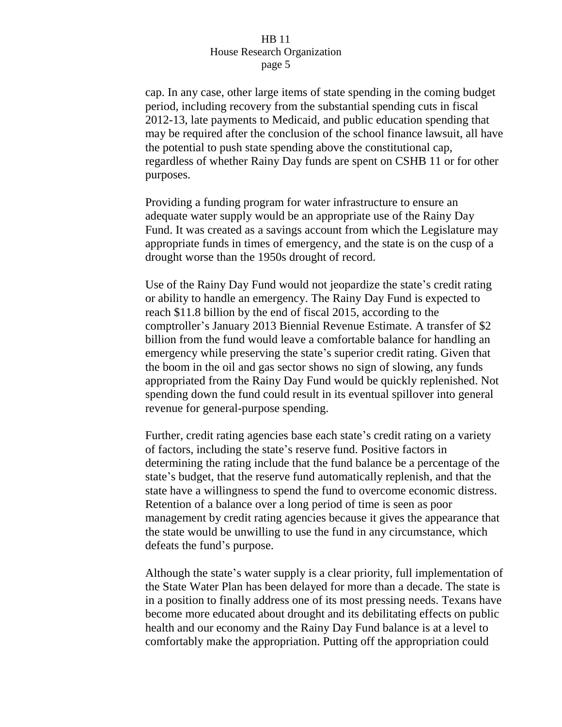cap. In any case, other large items of state spending in the coming budget period, including recovery from the substantial spending cuts in fiscal 2012-13, late payments to Medicaid, and public education spending that may be required after the conclusion of the school finance lawsuit, all have the potential to push state spending above the constitutional cap, regardless of whether Rainy Day funds are spent on CSHB 11 or for other purposes.

Providing a funding program for water infrastructure to ensure an adequate water supply would be an appropriate use of the Rainy Day Fund. It was created as a savings account from which the Legislature may appropriate funds in times of emergency, and the state is on the cusp of a drought worse than the 1950s drought of record.

Use of the Rainy Day Fund would not jeopardize the state's credit rating or ability to handle an emergency. The Rainy Day Fund is expected to reach \$11.8 billion by the end of fiscal 2015, according to the comptroller's January 2013 Biennial Revenue Estimate. A transfer of \$2 billion from the fund would leave a comfortable balance for handling an emergency while preserving the state's superior credit rating. Given that the boom in the oil and gas sector shows no sign of slowing, any funds appropriated from the Rainy Day Fund would be quickly replenished. Not spending down the fund could result in its eventual spillover into general revenue for general-purpose spending.

Further, credit rating agencies base each state's credit rating on a variety of factors, including the state's reserve fund. Positive factors in determining the rating include that the fund balance be a percentage of the state's budget, that the reserve fund automatically replenish, and that the state have a willingness to spend the fund to overcome economic distress. Retention of a balance over a long period of time is seen as poor management by credit rating agencies because it gives the appearance that the state would be unwilling to use the fund in any circumstance, which defeats the fund's purpose.

Although the state's water supply is a clear priority, full implementation of the State Water Plan has been delayed for more than a decade. The state is in a position to finally address one of its most pressing needs. Texans have become more educated about drought and its debilitating effects on public health and our economy and the Rainy Day Fund balance is at a level to comfortably make the appropriation. Putting off the appropriation could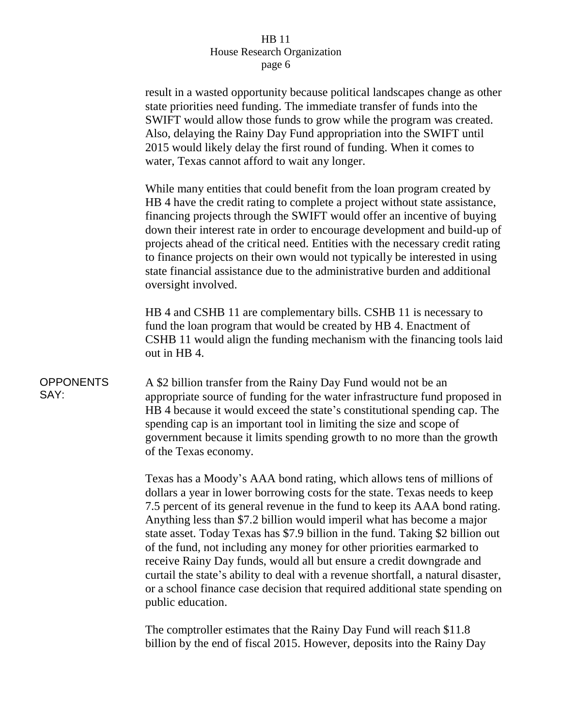|                          | result in a wasted opportunity because political landscapes change as other<br>state priorities need funding. The immediate transfer of funds into the<br>SWIFT would allow those funds to grow while the program was created.<br>Also, delaying the Rainy Day Fund appropriation into the SWIFT until<br>2015 would likely delay the first round of funding. When it comes to<br>water, Texas cannot afford to wait any longer.                                                                                                                                                                                                                                                                                                           |
|--------------------------|--------------------------------------------------------------------------------------------------------------------------------------------------------------------------------------------------------------------------------------------------------------------------------------------------------------------------------------------------------------------------------------------------------------------------------------------------------------------------------------------------------------------------------------------------------------------------------------------------------------------------------------------------------------------------------------------------------------------------------------------|
|                          | While many entities that could benefit from the loan program created by<br>HB 4 have the credit rating to complete a project without state assistance,<br>financing projects through the SWIFT would offer an incentive of buying<br>down their interest rate in order to encourage development and build-up of<br>projects ahead of the critical need. Entities with the necessary credit rating<br>to finance projects on their own would not typically be interested in using<br>state financial assistance due to the administrative burden and additional<br>oversight involved.                                                                                                                                                      |
|                          | HB 4 and CSHB 11 are complementary bills. CSHB 11 is necessary to<br>fund the loan program that would be created by HB 4. Enactment of<br>CSHB 11 would align the funding mechanism with the financing tools laid<br>out in HB 4.                                                                                                                                                                                                                                                                                                                                                                                                                                                                                                          |
| <b>OPPONENTS</b><br>SAY: | A \$2 billion transfer from the Rainy Day Fund would not be an<br>appropriate source of funding for the water infrastructure fund proposed in<br>HB 4 because it would exceed the state's constitutional spending cap. The<br>spending cap is an important tool in limiting the size and scope of<br>government because it limits spending growth to no more than the growth<br>of the Texas economy.                                                                                                                                                                                                                                                                                                                                      |
|                          | Texas has a Moody's AAA bond rating, which allows tens of millions of<br>dollars a year in lower borrowing costs for the state. Texas needs to keep<br>7.5 percent of its general revenue in the fund to keep its AAA bond rating.<br>Anything less than \$7.2 billion would imperil what has become a major<br>state asset. Today Texas has \$7.9 billion in the fund. Taking \$2 billion out<br>of the fund, not including any money for other priorities earmarked to<br>receive Rainy Day funds, would all but ensure a credit downgrade and<br>curtail the state's ability to deal with a revenue shortfall, a natural disaster,<br>or a school finance case decision that required additional state spending on<br>public education. |

The comptroller estimates that the Rainy Day Fund will reach \$11.8 billion by the end of fiscal 2015. However, deposits into the Rainy Day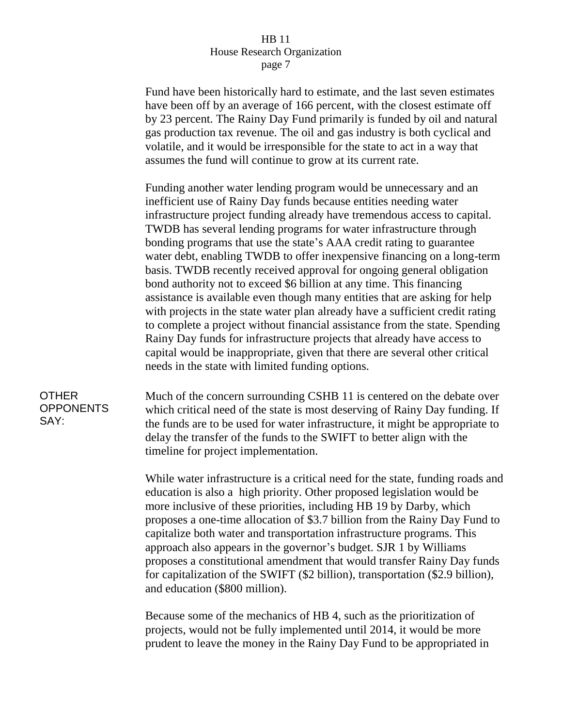Fund have been historically hard to estimate, and the last seven estimates have been off by an average of 166 percent, with the closest estimate off by 23 percent. The Rainy Day Fund primarily is funded by oil and natural gas production tax revenue. The oil and gas industry is both cyclical and volatile, and it would be irresponsible for the state to act in a way that assumes the fund will continue to grow at its current rate.

Funding another water lending program would be unnecessary and an inefficient use of Rainy Day funds because entities needing water infrastructure project funding already have tremendous access to capital. TWDB has several lending programs for water infrastructure through bonding programs that use the state's AAA credit rating to guarantee water debt, enabling TWDB to offer inexpensive financing on a long-term basis. TWDB recently received approval for ongoing general obligation bond authority not to exceed \$6 billion at any time. This financing assistance is available even though many entities that are asking for help with projects in the state water plan already have a sufficient credit rating to complete a project without financial assistance from the state. Spending Rainy Day funds for infrastructure projects that already have access to capital would be inappropriate, given that there are several other critical needs in the state with limited funding options.

OTHER **OPPONENTS** SAY:

Much of the concern surrounding CSHB 11 is centered on the debate over which critical need of the state is most deserving of Rainy Day funding. If the funds are to be used for water infrastructure, it might be appropriate to delay the transfer of the funds to the SWIFT to better align with the timeline for project implementation.

While water infrastructure is a critical need for the state, funding roads and education is also a high priority. Other proposed legislation would be more inclusive of these priorities, including HB 19 by Darby, which proposes a one-time allocation of \$3.7 billion from the Rainy Day Fund to capitalize both water and transportation infrastructure programs. This approach also appears in the governor's budget. SJR 1 by Williams proposes a constitutional amendment that would transfer Rainy Day funds for capitalization of the SWIFT (\$2 billion), transportation (\$2.9 billion), and education (\$800 million).

Because some of the mechanics of HB 4, such as the prioritization of projects, would not be fully implemented until 2014, it would be more prudent to leave the money in the Rainy Day Fund to be appropriated in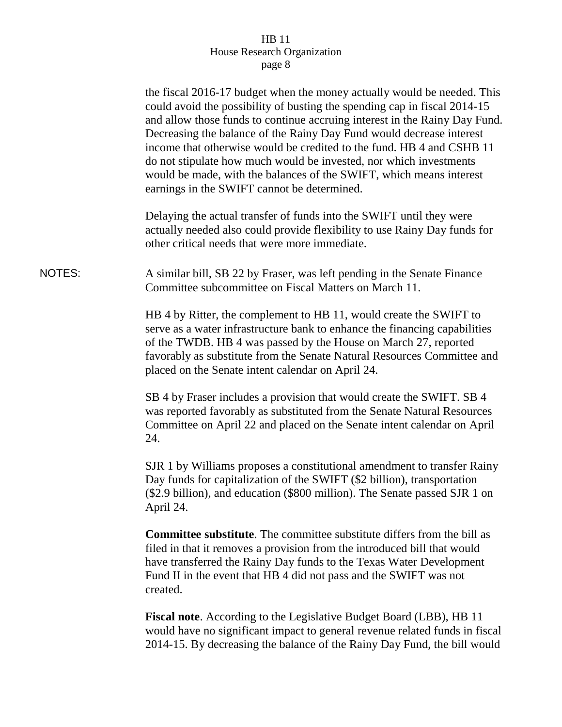|        | the fiscal 2016-17 budget when the money actually would be needed. This<br>could avoid the possibility of busting the spending cap in fiscal 2014-15<br>and allow those funds to continue accruing interest in the Rainy Day Fund.<br>Decreasing the balance of the Rainy Day Fund would decrease interest<br>income that otherwise would be credited to the fund. HB 4 and CSHB 11<br>do not stipulate how much would be invested, nor which investments<br>would be made, with the balances of the SWIFT, which means interest<br>earnings in the SWIFT cannot be determined. |
|--------|---------------------------------------------------------------------------------------------------------------------------------------------------------------------------------------------------------------------------------------------------------------------------------------------------------------------------------------------------------------------------------------------------------------------------------------------------------------------------------------------------------------------------------------------------------------------------------|
|        | Delaying the actual transfer of funds into the SWIFT until they were<br>actually needed also could provide flexibility to use Rainy Day funds for<br>other critical needs that were more immediate.                                                                                                                                                                                                                                                                                                                                                                             |
| NOTES: | A similar bill, SB 22 by Fraser, was left pending in the Senate Finance<br>Committee subcommittee on Fiscal Matters on March 11.                                                                                                                                                                                                                                                                                                                                                                                                                                                |
|        | HB 4 by Ritter, the complement to HB 11, would create the SWIFT to<br>serve as a water infrastructure bank to enhance the financing capabilities<br>of the TWDB. HB 4 was passed by the House on March 27, reported<br>favorably as substitute from the Senate Natural Resources Committee and<br>placed on the Senate intent calendar on April 24.                                                                                                                                                                                                                             |
|        | SB 4 by Fraser includes a provision that would create the SWIFT. SB 4<br>was reported favorably as substituted from the Senate Natural Resources<br>Committee on April 22 and placed on the Senate intent calendar on April<br>24.                                                                                                                                                                                                                                                                                                                                              |
|        | SJR 1 by Williams proposes a constitutional amendment to transfer Rainy<br>Day funds for capitalization of the SWIFT (\$2 billion), transportation<br>(\$2.9 billion), and education (\$800 million). The Senate passed SJR 1 on<br>April 24.                                                                                                                                                                                                                                                                                                                                   |
|        | <b>Committee substitute.</b> The committee substitute differs from the bill as<br>filed in that it removes a provision from the introduced bill that would<br>have transferred the Rainy Day funds to the Texas Water Development<br>Fund II in the event that HB 4 did not pass and the SWIFT was not<br>created.                                                                                                                                                                                                                                                              |
|        | <b>Fiscal note.</b> According to the Legislative Budget Board (LBB), HB 11<br>would have no significant impact to general revenue related funds in fiscal<br>2014-15. By decreasing the balance of the Rainy Day Fund, the bill would                                                                                                                                                                                                                                                                                                                                           |
|        |                                                                                                                                                                                                                                                                                                                                                                                                                                                                                                                                                                                 |